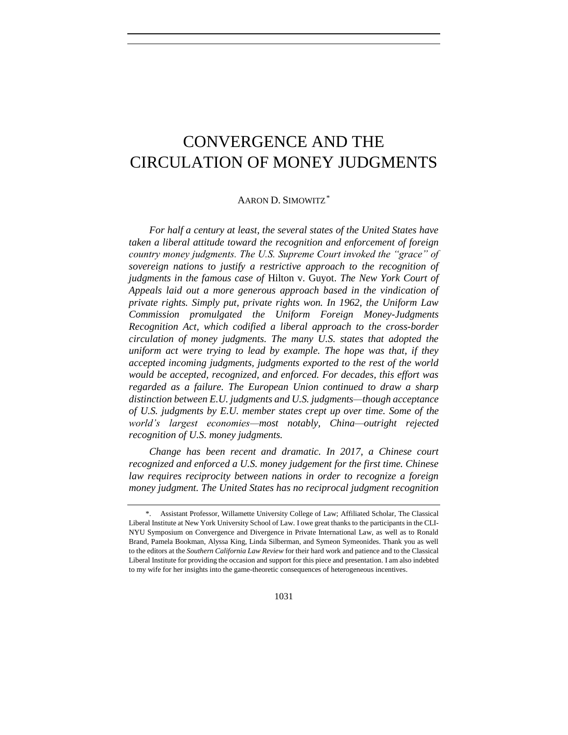# CONVERGENCE AND THE CIRCULATION OF MONEY JUDGMENTS

## AARON D. SIMOWITZ<sup>\*</sup>

*For half a century at least, the several states of the United States have taken a liberal attitude toward the recognition and enforcement of foreign country money judgments. The U.S. Supreme Court invoked the "grace" of sovereign nations to justify a restrictive approach to the recognition of judgments in the famous case of* Hilton v. Guyot. *The New York Court of Appeals laid out a more generous approach based in the vindication of private rights. Simply put, private rights won. In 1962, the Uniform Law Commission promulgated the Uniform Foreign Money-Judgments Recognition Act, which codified a liberal approach to the cross-border circulation of money judgments. The many U.S. states that adopted the uniform act were trying to lead by example. The hope was that, if they accepted incoming judgments, judgments exported to the rest of the world would be accepted, recognized, and enforced. For decades, this effort was regarded as a failure. The European Union continued to draw a sharp distinction between E.U. judgments and U.S. judgments—though acceptance of U.S. judgments by E.U. member states crept up over time. Some of the world's largest economies—most notably, China—outright rejected recognition of U.S. money judgments.*

*Change has been recent and dramatic. In 2017, a Chinese court recognized and enforced a U.S. money judgement for the first time. Chinese law requires reciprocity between nations in order to recognize a foreign money judgment. The United States has no reciprocal judgment recognition* 

<sup>\*.</sup> Assistant Professor, Willamette University College of Law; Affiliated Scholar, The Classical Liberal Institute at New York University School of Law. I owe great thanks to the participants in the CLI-NYU Symposium on Convergence and Divergence in Private International Law, as well as to Ronald Brand, Pamela Bookman, Alyssa King, Linda Silberman, and Symeon Symeonides. Thank you as well to the editors at the *Southern California Law Review* for their hard work and patience and to the Classical Liberal Institute for providing the occasion and support for this piece and presentation. I am also indebted to my wife for her insights into the game-theoretic consequences of heterogeneous incentives.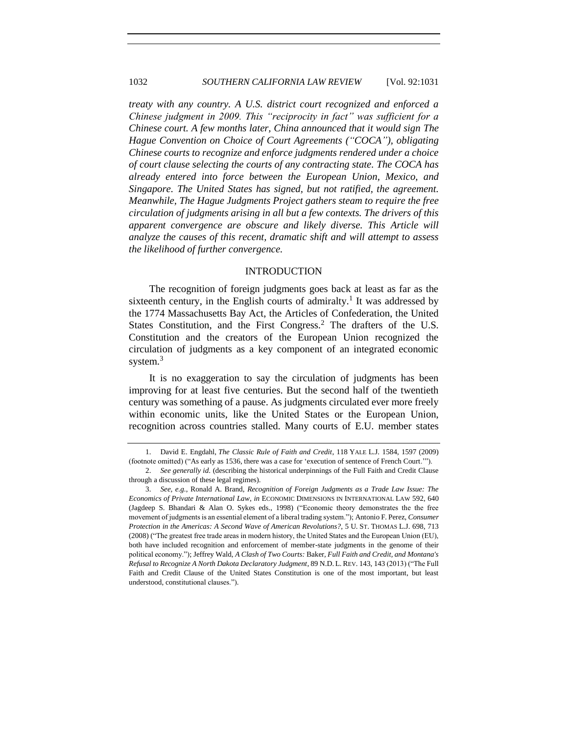*treaty with any country. A U.S. district court recognized and enforced a Chinese judgment in 2009. This "reciprocity in fact" was sufficient for a Chinese court. A few months later, China announced that it would sign The Hague Convention on Choice of Court Agreements ("COCA"), obligating Chinese courts to recognize and enforce judgments rendered under a choice of court clause selecting the courts of any contracting state. The COCA has already entered into force between the European Union, Mexico, and Singapore. The United States has signed, but not ratified, the agreement. Meanwhile, The Hague Judgments Project gathers steam to require the free circulation of judgments arising in all but a few contexts. The drivers of this apparent convergence are obscure and likely diverse. This Article will analyze the causes of this recent, dramatic shift and will attempt to assess the likelihood of further convergence.*

## INTRODUCTION

The recognition of foreign judgments goes back at least as far as the sixteenth century, in the English courts of admiralty.<sup>1</sup> It was addressed by the 1774 Massachusetts Bay Act, the Articles of Confederation, the United States Constitution, and the First Congress.<sup>2</sup> The drafters of the U.S. Constitution and the creators of the European Union recognized the circulation of judgments as a key component of an integrated economic system.<sup>3</sup>

<span id="page-1-0"></span>It is no exaggeration to say the circulation of judgments has been improving for at least five centuries. But the second half of the twentieth century was something of a pause. As judgments circulated ever more freely within economic units, like the United States or the European Union, recognition across countries stalled. Many courts of E.U. member states

<sup>1.</sup> David E. Engdahl, *The Classic Rule of Faith and Credit*, 118 YALE L.J. 1584, 1597 (2009) (footnote omitted) ("As early as 1536, there was a case for 'execution of sentence of French Court.'").

<sup>2.</sup> *See generally id*. (describing the historical underpinnings of the Full Faith and Credit Clause through a discussion of these legal regimes).

<sup>3.</sup> *See, e.g.*, Ronald A. Brand, *Recognition of Foreign Judgments as a Trade Law Issue: The Economics of Private International Law*, *in* ECONOMIC DIMENSIONS IN INTERNATIONAL LAW 592, 640 (Jagdeep S. Bhandari & Alan O. Sykes eds., 1998) ("Economic theory demonstrates the the free movement of judgments is an essential element of a liberal trading system."); Antonio F. Perez, *Consumer Protection in the Americas: A Second Wave of American Revolutions?*, 5 U. ST. THOMAS L.J. 698, 713 (2008) ("The greatest free trade areas in modern history, the United States and the European Union (EU), both have included recognition and enforcement of member-state judgments in the genome of their political economy."); Jeffrey Wald, *A Clash of Two Courts:* Baker*, Full Faith and Credit, and Montana's Refusal to Recognize A North Dakota Declaratory Judgment*, 89 N.D. L. REV. 143, 143 (2013) ("The Full Faith and Credit Clause of the United States Constitution is one of the most important, but least understood, constitutional clauses.").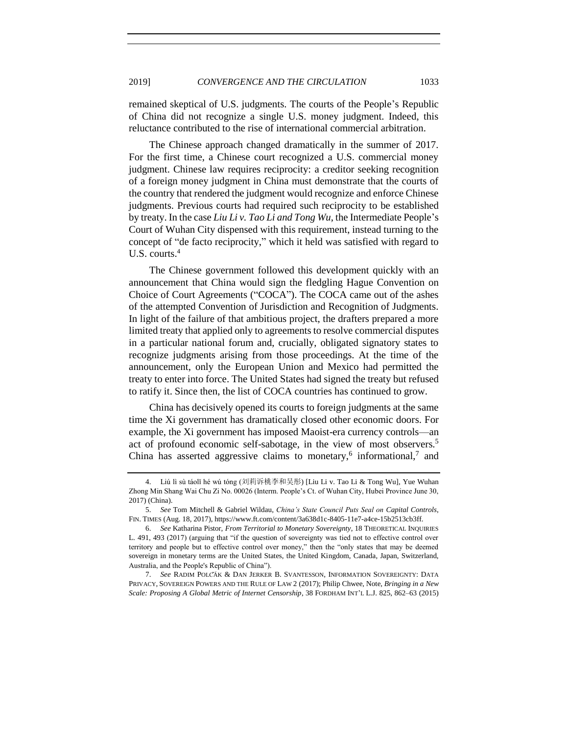remained skeptical of U.S. judgments. The courts of the People's Republic of China did not recognize a single U.S. money judgment. Indeed, this reluctance contributed to the rise of international commercial arbitration.

The Chinese approach changed dramatically in the summer of 2017. For the first time, a Chinese court recognized a U.S. commercial money judgment. Chinese law requires reciprocity: a creditor seeking recognition of a foreign money judgment in China must demonstrate that the courts of the country that rendered the judgment would recognize and enforce Chinese judgments. Previous courts had required such reciprocity to be established by treaty. In the case *Liu Li v. Tao Li and Tong Wu*, the Intermediate People's Court of Wuhan City dispensed with this requirement, instead turning to the concept of "de facto reciprocity," which it held was satisfied with regard to U.S. courts.<sup>4</sup>

The Chinese government followed this development quickly with an announcement that China would sign the fledgling Hague Convention on Choice of Court Agreements ("COCA"). The COCA came out of the ashes of the attempted Convention of Jurisdiction and Recognition of Judgments. In light of the failure of that ambitious project, the drafters prepared a more limited treaty that applied only to agreements to resolve commercial disputes in a particular national forum and, crucially, obligated signatory states to recognize judgments arising from those proceedings. At the time of the announcement, only the European Union and Mexico had permitted the treaty to enter into force. The United States had signed the treaty but refused to ratify it. Since then, the list of COCA countries has continued to grow.

China has decisively opened its courts to foreign judgments at the same time the Xi government has dramatically closed other economic doors. For example, the Xi government has imposed Maoist-era currency controls—an act of profound economic self-sabotage, in the view of most observers.<sup>5</sup> China has asserted aggressive claims to monetary,<sup>6</sup> informational,<sup>7</sup> and

<sup>4.</sup> Liú lì sù táolǐ hé wú tóng (刘莉诉桃李和吴彤) [Liu Li v. Tao Li & Tong Wu], Yue Wuhan Zhong Min Shang Wai Chu Zi No. 00026 (Interm. People's Ct. of Wuhan City, Hubei Province June 30, 2017) (China).

<sup>5.</sup> *See* Tom Mitchell & Gabriel Wildau, *China's State Council Puts Seal on Capital Controls*, FIN. TIMES (Aug. 18, 2017), https://www.ft.com/content/3a638d1c-8405-11e7-a4ce-15b2513cb3ff.

<sup>6.</sup> *See* Katharina Pistor, *From Territorial to Monetary Sovereignty*, 18 THEORETICAL INQUIRIES L. 491, 493 (2017) (arguing that "if the question of sovereignty was tied not to effective control over territory and people but to effective control over money," then the "only states that may be deemed sovereign in monetary terms are the United States, the United Kingdom, Canada, Japan, Switzerland, Australia, and the People's Republic of China").

<sup>7.</sup> *See* RADIM POLC̆Á K & DAN JERKER B. SVANTESSON, INFORMATION SOVEREIGNTY: DATA PRIVACY, SOVEREIGN POWERS AND THE RULE OF LAW 2 (2017); Philip Chwee, Note, *Bringing in a New Scale: Proposing A Global Metric of Internet Censorship*, 38 FORDHAM INT'L L.J. 825, 862–63 (2015)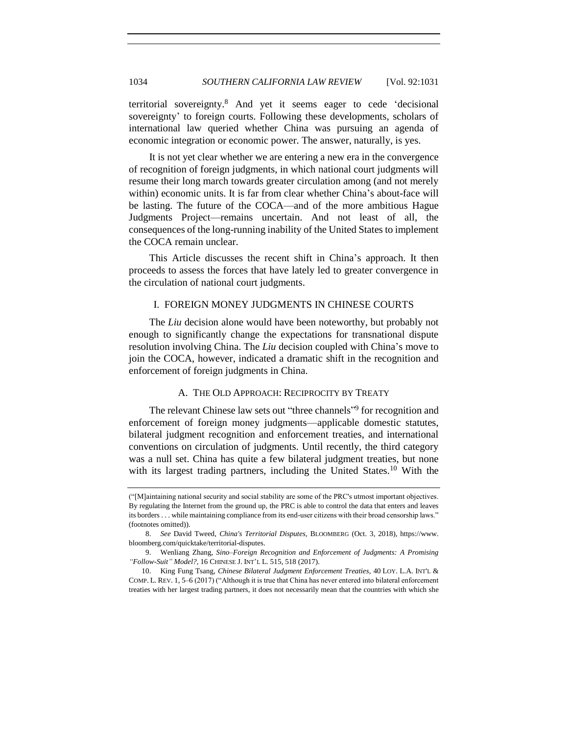<span id="page-3-2"></span>territorial sovereignty.<sup>8</sup> And yet it seems eager to cede 'decisional sovereignty' to foreign courts. Following these developments, scholars of international law queried whether China was pursuing an agenda of economic integration or economic power. The answer, naturally, is yes.

It is not yet clear whether we are entering a new era in the convergence of recognition of foreign judgments, in which national court judgments will resume their long march towards greater circulation among (and not merely within) economic units. It is far from clear whether China's about-face will be lasting. The future of the COCA—and of the more ambitious Hague Judgments Project—remains uncertain. And not least of all, the consequences of the long-running inability of the United States to implement the COCA remain unclear.

This Article discusses the recent shift in China's approach. It then proceeds to assess the forces that have lately led to greater convergence in the circulation of national court judgments.

#### I. FOREIGN MONEY JUDGMENTS IN CHINESE COURTS

The *Liu* decision alone would have been noteworthy, but probably not enough to significantly change the expectations for transnational dispute resolution involving China. The *Liu* decision coupled with China's move to join the COCA, however, indicated a dramatic shift in the recognition and enforcement of foreign judgments in China.

## <span id="page-3-1"></span><span id="page-3-0"></span>A.THE OLD APPROACH: RECIPROCITY BY TREATY

The relevant Chinese law sets out "three channels"<sup>9</sup> for recognition and enforcement of foreign money judgments—applicable domestic statutes, bilateral judgment recognition and enforcement treaties, and international conventions on circulation of judgments. Until recently, the third category was a null set. China has quite a few bilateral judgment treaties, but none with its largest trading partners, including the United States.<sup>10</sup> With the

<sup>(&</sup>quot;[M]aintaining national security and social stability are some of the PRC's utmost important objectives. By regulating the Internet from the ground up, the PRC is able to control the data that enters and leaves its borders . . . while maintaining compliance from its end-user citizens with their broad censorship laws." (footnotes omitted)).

<sup>8.</sup> *See* David Tweed, *China's Territorial Disputes*, BLOOMBERG (Oct. 3, 2018), https://www. bloomberg.com/quicktake/territorial-disputes.

<sup>9.</sup> Wenliang Zhang, *Sino–Foreign Recognition and Enforcement of Judgments: A Promising "Follow-Suit" Model?*, 16 CHINESE J. INT'L L. 515, 518 (2017).

<sup>10.</sup> King Fung Tsang, *Chinese Bilateral Judgment Enforcement Treaties*, 40 LOY. L.A. INT'L & COMP. L. REV. 1, 5–6 (2017) ("Although it is true that China has never entered into bilateral enforcement treaties with her largest trading partners, it does not necessarily mean that the countries with which she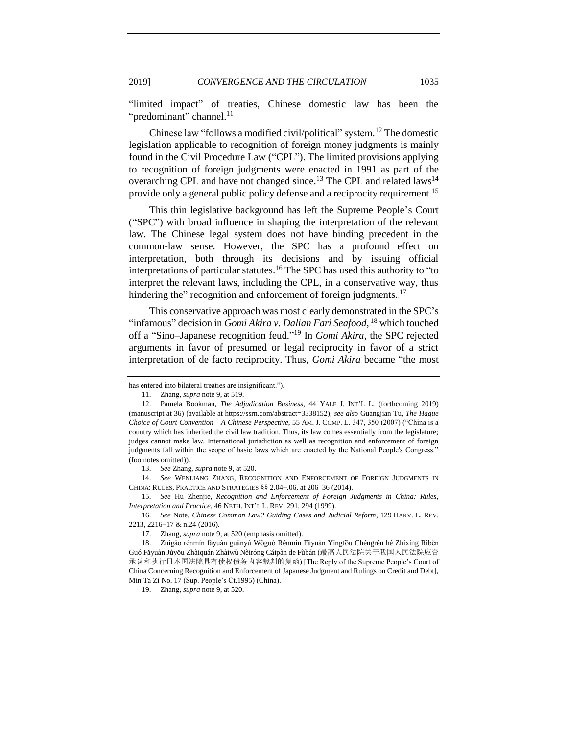"limited impact" of treaties, Chinese domestic law has been the "predominant" channel. $^{11}$ 

Chinese law "follows a modified civil/political" system. <sup>12</sup> The domestic legislation applicable to recognition of foreign money judgments is mainly found in the Civil Procedure Law ("CPL"). The limited provisions applying to recognition of foreign judgments were enacted in 1991 as part of the overarching CPL and have not changed since.<sup>13</sup> The CPL and related laws<sup>14</sup> provide only a general public policy defense and a reciprocity requirement.<sup>15</sup>

This thin legislative background has left the Supreme People's Court ("SPC") with broad influence in shaping the interpretation of the relevant law. The Chinese legal system does not have binding precedent in the common-law sense. However, the SPC has a profound effect on interpretation, both through its decisions and by issuing official interpretations of particular statutes.<sup>16</sup> The SPC has used this authority to "to interpret the relevant laws, including the CPL, in a conservative way, thus hindering the" recognition and enforcement of foreign judgments.<sup>17</sup>

This conservative approach was most clearly demonstrated in the SPC's "infamous" decision in *Gomi Akira v. Dalian Fari Seafood*, <sup>18</sup> which touched off a "Sino–Japanese recognition feud." <sup>19</sup> In *Gomi Akira*, the SPC rejected arguments in favor of presumed or legal reciprocity in favor of a strict interpretation of de facto reciprocity. Thus, *Gomi Akira* became "the most

13. *See* Zhang, *supra* not[e 9,](#page-3-0) at 520.

14. *See* WENLIANG ZHANG, RECOGNITION AND ENFORCEMENT OF FOREIGN JUDGMENTS IN CHINA: RULES, PRACTICE AND STRATEGIES §§ 2.04−.06, at 206–36 (2014).

15. *See* Hu Zhenjie, *Recognition and Enforcement of Foreign Judgments in China: Rules, Interpretation and Practice*, 46 NETH. INT'L L. REV. 291, 294 (1999).

16. *See* Note, *Chinese Common Law? Guiding Cases and Judicial Reform*, 129 HARV. L. REV. 2213, 2216−17 & n.24 (2016).

19. Zhang, *supra* not[e 9,](#page-3-0) at 520.

has entered into bilateral treaties are insignificant.").

<sup>11.</sup> Zhang, *supra* not[e 9,](#page-3-0) at 519.

<sup>12.</sup> Pamela Bookman, *The Adjudication Business*, 44 YALE J. INT'L L. (forthcoming 2019) (manuscript at 36) (available at https://ssrn.com/abstract=3338152); *see also* Guangjian Tu, *The Hague Choice of Court Convention*—*A Chinese Perspective*, 55 AM. J. COMP. L. 347, 350 (2007) ("China is a country which has inherited the civil law tradition. Thus, its law comes essentially from the legislature; judges cannot make law. International jurisdiction as well as recognition and enforcement of foreign judgments fall within the scope of basic laws which are enacted by the National People's Congress." (footnotes omitted)).

<sup>17.</sup> Zhang, *supra* not[e 9,](#page-3-0) at 520 (emphasis omitted).

<sup>18.</sup> Zuìgāo rénmín fǎyuàn guānyú Wǒguó Rénmín Fǎyuàn Yīngfǒu Chéngrèn hé Zhíxíng Rìběn Guó Fǎyuàn Jùyǒu Zhàiquán Zhàiwù Nèiróng Cáipàn de Fùbán (最高人民法院关于我国人民法院应否 承认和执行日本国法院具有债权债务内容裁判的复函) [The Reply of the Supreme People's Court of China Concerning Recognition and Enforcement of Japanese Judgment and Rulings on Credit and Debt], Min Ta Zi No. 17 (Sup. People's Ct.1995) (China).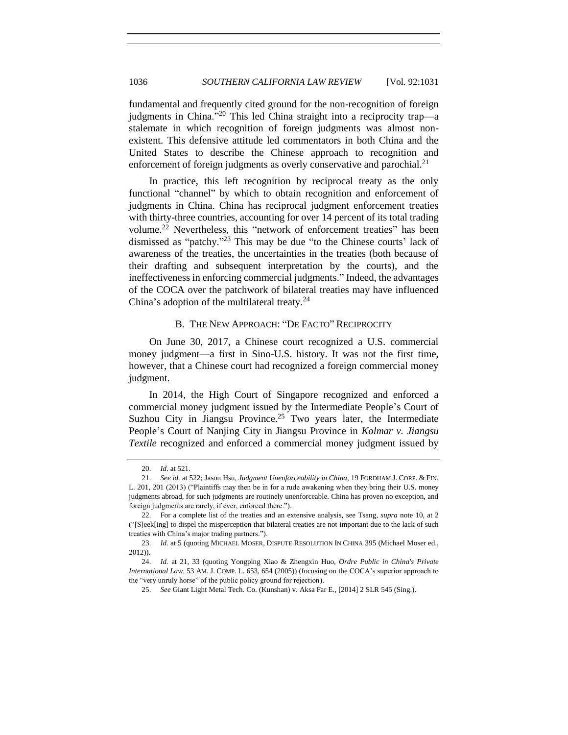<span id="page-5-0"></span>fundamental and frequently cited ground for the non-recognition of foreign judgments in China."<sup>20</sup> This led China straight into a reciprocity trap—a stalemate in which recognition of foreign judgments was almost nonexistent. This defensive attitude led commentators in both China and the United States to describe the Chinese approach to recognition and enforcement of foreign judgments as overly conservative and parochial.<sup>21</sup>

In practice, this left recognition by reciprocal treaty as the only functional "channel" by which to obtain recognition and enforcement of judgments in China. China has reciprocal judgment enforcement treaties with thirty-three countries, accounting for over 14 percent of its total trading volume.<sup>22</sup> Nevertheless, this "network of enforcement treaties" has been dismissed as "patchy." <sup>23</sup> This may be due "to the Chinese courts' lack of awareness of the treaties, the uncertainties in the treaties (both because of their drafting and subsequent interpretation by the courts), and the ineffectiveness in enforcing commercial judgments." Indeed, the advantages of the COCA over the patchwork of bilateral treaties may have influenced China's adoption of the multilateral treaty. $^{24}$ 

#### B.THE NEW APPROACH: "DE FACTO" RECIPROCITY

On June 30, 2017, a Chinese court recognized a U.S. commercial money judgment—a first in Sino-U.S. history. It was not the first time, however, that a Chinese court had recognized a foreign commercial money judgment.

In 2014, the High Court of Singapore recognized and enforced a commercial money judgment issued by the Intermediate People's Court of Suzhou City in Jiangsu Province.<sup>25</sup> Two years later, the Intermediate People's Court of Nanjing City in Jiangsu Province in *Kolmar v. Jiangsu Textile* recognized and enforced a commercial money judgment issued by

<sup>20.</sup> *Id*. at 521.

<sup>21.</sup> *See id.* at 522; Jason Hsu, *Judgment Unenforceability in China*, 19 FORDHAM J. CORP. & FIN. L. 201, 201 (2013) ("Plaintiffs may then be in for a rude awakening when they bring their U.S. money judgments abroad, for such judgments are routinely unenforceable. China has proven no exception, and foreign judgments are rarely, if ever, enforced there.").

<sup>22.</sup> For a complete list of the treaties and an extensive analysis, see Tsang, *supra* note [10,](#page-3-1) at 2 ("[S]eek[ing] to dispel the misperception that bilateral treaties are not important due to the lack of such treaties with China's major trading partners.").

<sup>23.</sup> *Id.* at 5 (quoting MICHAEL MOSER, DISPUTE RESOLUTION IN CHINA 395 (Michael Moser ed., 2012)).

<sup>24.</sup> *Id.* at 21, 33 (quoting Yongping Xiao & Zhengxin Huo, *Ordre Public in China's Private International Law*, 53 AM. J. COMP. L. 653, 654 (2005)) (focusing on the COCA's superior approach to the "very unruly horse" of the public policy ground for rejection).

<sup>25.</sup> *See* Giant Light Metal Tech. Co. (Kunshan) v. Aksa Far E., [2014] 2 SLR 545 (Sing.).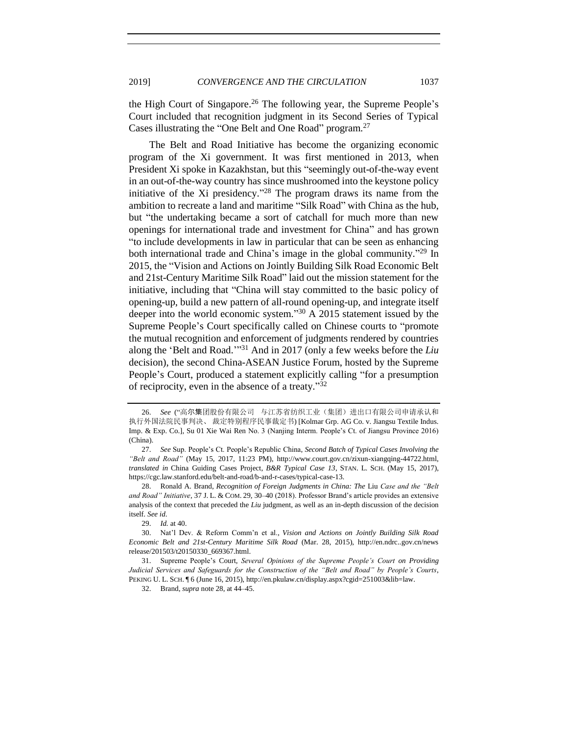<span id="page-6-0"></span>the High Court of Singapore.<sup>26</sup> The following year, the Supreme People's Court included that recognition judgment in its Second Series of Typical Cases illustrating the "One Belt and One Road" program.<sup>27</sup>

The Belt and Road Initiative has become the organizing economic program of the Xi government. It was first mentioned in 2013, when President Xi spoke in Kazakhstan, but this "seemingly out-of-the-way event in an out-of-the-way country has since mushroomed into the keystone policy initiative of the Xi presidency." <sup>28</sup> The program draws its name from the ambition to recreate a land and maritime "Silk Road" with China as the hub, but "the undertaking became a sort of catchall for much more than new openings for international trade and investment for China" and has grown "to include developments in law in particular that can be seen as enhancing both international trade and China's image in the global community."<sup>29</sup> In 2015, the "Vision and Actions on Jointly Building Silk Road Economic Belt and 21st-Century Maritime Silk Road" laid out the mission statement for the initiative, including that "China will stay committed to the basic policy of opening-up, build a new pattern of all-round opening-up, and integrate itself deeper into the world economic system." <sup>30</sup> A 2015 statement issued by the Supreme People's Court specifically called on Chinese courts to "promote the mutual recognition and enforcement of judgments rendered by countries along the 'Belt and Road.'" <sup>31</sup> And in 2017 (only a few weeks before the *Liu* decision), the second China-ASEAN Justice Forum, hosted by the Supreme People's Court, produced a statement explicitly calling "for a presumption of reciprocity, even in the absence of a treaty."<sup>32</sup>

<sup>26.</sup> *See* ("高尔集团股份有限公司 与江苏省纺织工业(集团)进出口有限公司申请承认和 执行外国法院民事判决、 裁定特别程序民事裁定书) [Kolmar Grp. AG Co. v. Jiangsu Textile Indus. Imp. & Exp. Co.], Su 01 Xie Wai Ren No. 3 (Nanjing Interm. People's Ct. of Jiangsu Province 2016) (China).

<sup>27.</sup> *See* Sup. People's Ct. People's Republic China, *Second Batch of Typical Cases Involving the "Belt and Road"* (May 15, 2017, 11:23 PM), http://www.court.gov.cn/zixun-xiangqing-44722.html, *translated in* China Guiding Cases Project, *B&R Typical Case 13*, STAN. L. SCH. (May 15, 2017), https://cgc.law.stanford.edu/belt-and-road/b-and-r-cases/typical-case-13.

<sup>28.</sup> Ronald A. Brand, *Recognition of Foreign Judgments in China: The* Liu *Case and the "Belt and Road" Initiative*, 37 J. L. & COM. 29, 30–40 (2018). Professor Brand's article provides an extensive analysis of the context that preceded the *Liu* judgment, as well as an in-depth discussion of the decision itself. *See id*.

<sup>29.</sup> *Id.* at 40.

<sup>30.</sup> Nat'l Dev. & Reform Comm'n et al., *Vision and Actions on Jointly Building Silk Road Economic Belt and 21st-Century Maritime Silk Road* (Mar. 28, 2015), http://en.ndrc..gov.cn/news release/201503/t20150330\_669367.html.

<sup>31.</sup> Supreme People's Court, *Several Opinions of the Supreme People's Court on Providing Judicial Services and Safeguards for the Construction of the "Belt and Road" by People's Courts*, PEKING U.L. SCH. <sup>¶</sup> 6 (June 16, 2015), http://en.pkulaw.cn/display.aspx?cgid=251003&lib=law.

<sup>32.</sup> Brand, *supra* not[e 28,](#page-5-0) at 44–45.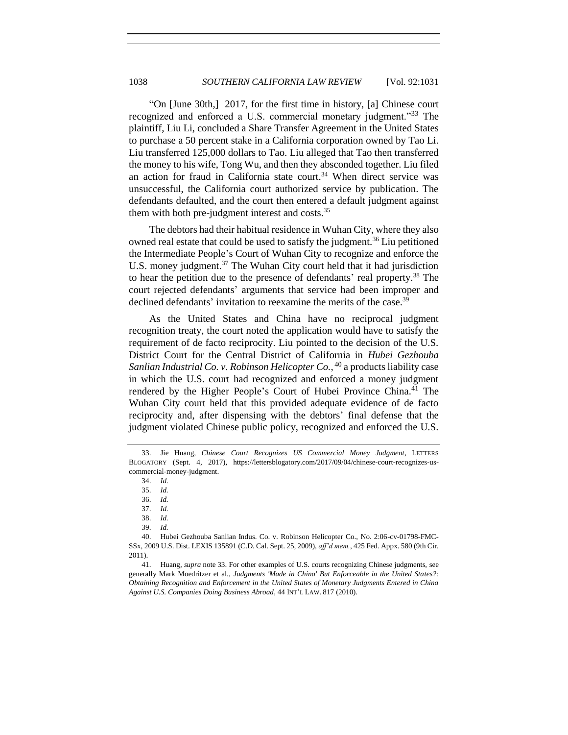"On [June 30th,] 2017, for the first time in history, [a] Chinese court recognized and enforced a U.S. commercial monetary judgment."<sup>33</sup> The plaintiff, Liu Li, concluded a Share Transfer Agreement in the United States to purchase a 50 percent stake in a California corporation owned by Tao Li. Liu transferred 125,000 dollars to Tao. Liu alleged that Tao then transferred the money to his wife, Tong Wu, and then they absconded together. Liu filed an action for fraud in California state court.<sup>34</sup> When direct service was unsuccessful, the California court authorized service by publication. The defendants defaulted, and the court then entered a default judgment against them with both pre-judgment interest and costs.<sup>35</sup>

The debtors had their habitual residence in Wuhan City, where they also owned real estate that could be used to satisfy the judgment.<sup>36</sup> Liu petitioned the Intermediate People's Court of Wuhan City to recognize and enforce the U.S. money judgment.<sup>37</sup> The Wuhan City court held that it had jurisdiction to hear the petition due to the presence of defendants' real property.<sup>38</sup> The court rejected defendants' arguments that service had been improper and declined defendants' invitation to reexamine the merits of the case.<sup>39</sup>

As the United States and China have no reciprocal judgment recognition treaty, the court noted the application would have to satisfy the requirement of de facto reciprocity. Liu pointed to the decision of the U.S. District Court for the Central District of California in *Hubei Gezhouba Sanlian Industrial Co. v. Robinson Helicopter Co.*, <sup>40</sup> a products liability case in which the U.S. court had recognized and enforced a money judgment rendered by the Higher People's Court of Hubei Province China.<sup>41</sup> The Wuhan City court held that this provided adequate evidence of de facto reciprocity and, after dispensing with the debtors' final defense that the judgment violated Chinese public policy, recognized and enforced the U.S.

39. *Id.*

<sup>33.</sup> Jie Huang, *Chinese Court Recognizes US Commercial Money Judgment*, LETTERS BLOGATORY (Sept. 4, 2017), https://lettersblogatory.com/2017/09/04/chinese-court-recognizes-uscommercial-money-judgment.

<sup>34.</sup> *Id.*

<sup>35.</sup> *Id.*

<sup>36.</sup> *Id.*

<sup>37.</sup> *Id.*

<sup>38.</sup> *Id.*

<sup>40.</sup> Hubei Gezhouba Sanlian Indus. Co. v. Robinson Helicopter Co., No. 2:06-cv-01798-FMC-SSx, 2009 U.S. Dist. LEXIS 135891 (C.D. Cal. Sept. 25, 2009), *aff'd mem.*, 425 Fed. Appx. 580 (9th Cir. 2011).

<sup>41.</sup> Huang*, supra* not[e 33.](#page-6-0) For other examples of U.S. courts recognizing Chinese judgments, see generally Mark Moedritzer et al., *Judgments 'Made in China' But Enforceable in the United States?: Obtaining Recognition and Enforcement in the United States of Monetary Judgments Entered in China Against U.S. Companies Doing Business Abroad*, 44 INT'L LAW. 817 (2010).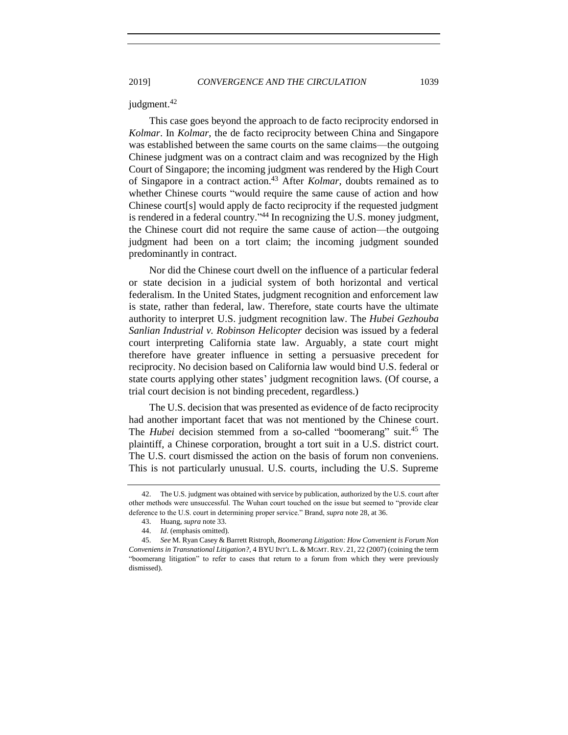2019] *CONVERGENCE AND THE CIRCULATION* 1039

judgment.<sup>42</sup>

This case goes beyond the approach to de facto reciprocity endorsed in *Kolmar*. In *Kolmar*, the de facto reciprocity between China and Singapore was established between the same courts on the same claims—the outgoing Chinese judgment was on a contract claim and was recognized by the High Court of Singapore; the incoming judgment was rendered by the High Court of Singapore in a contract action.<sup>43</sup> After *Kolmar*, doubts remained as to whether Chinese courts "would require the same cause of action and how Chinese court[s] would apply de facto reciprocity if the requested judgment is rendered in a federal country."<sup>44</sup> In recognizing the U.S. money judgment, the Chinese court did not require the same cause of action—the outgoing judgment had been on a tort claim; the incoming judgment sounded predominantly in contract.

Nor did the Chinese court dwell on the influence of a particular federal or state decision in a judicial system of both horizontal and vertical federalism. In the United States, judgment recognition and enforcement law is state, rather than federal, law. Therefore, state courts have the ultimate authority to interpret U.S. judgment recognition law. The *Hubei Gezhouba Sanlian Industrial v. Robinson Helicopter* decision was issued by a federal court interpreting California state law. Arguably, a state court might therefore have greater influence in setting a persuasive precedent for reciprocity. No decision based on California law would bind U.S. federal or state courts applying other states' judgment recognition laws. (Of course, a trial court decision is not binding precedent, regardless.)

The U.S. decision that was presented as evidence of de facto reciprocity had another important facet that was not mentioned by the Chinese court. The *Hubei* decision stemmed from a so-called "boomerang" suit.<sup>45</sup> The plaintiff, a Chinese corporation, brought a tort suit in a U.S. district court. The U.S. court dismissed the action on the basis of forum non conveniens. This is not particularly unusual. U.S. courts, including the U.S. Supreme

<sup>42.</sup> The U.S. judgment was obtained with service by publication, authorized by the U.S. court after other methods were unsuccessful. The Wuhan court touched on the issue but seemed to "provide clear deference to the U.S. court in determining proper service." Brand, *supra* not[e 28,](#page-5-0) at 36.

<sup>43.</sup> Huang, *supra* not[e 33.](#page-6-0)

<sup>44.</sup> *Id*. (emphasis omitted).

<sup>45.</sup> *See* M. Ryan Casey & Barrett Ristroph, *Boomerang Litigation: How Convenient is Forum Non Conveniens in Transnational Litigation?*, 4 BYU INT'L L. & MGMT. REV. 21, 22 (2007) (coining the term "boomerang litigation" to refer to cases that return to a forum from which they were previously dismissed).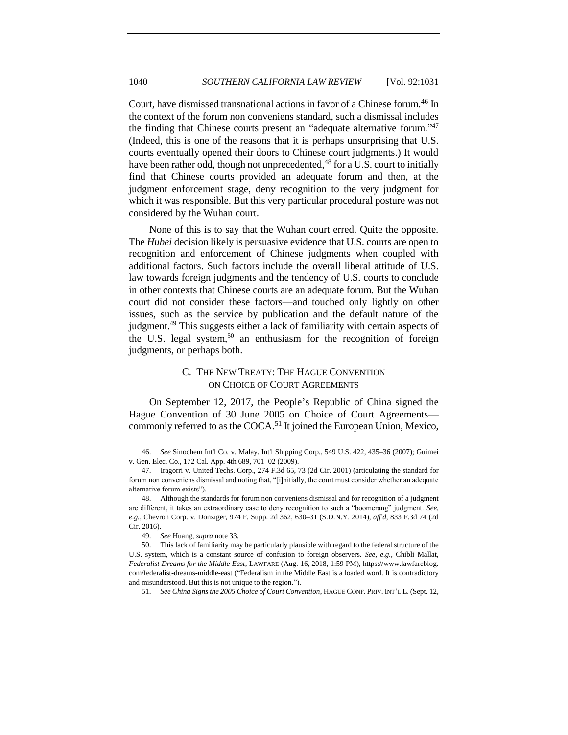Court, have dismissed transnational actions in favor of a Chinese forum.<sup>46</sup> In the context of the forum non conveniens standard, such a dismissal includes the finding that Chinese courts present an "adequate alternative forum."<sup>47</sup> (Indeed, this is one of the reasons that it is perhaps unsurprising that U.S. courts eventually opened their doors to Chinese court judgments.) It would have been rather odd, though not unprecedented,<sup>48</sup> for a U.S. court to initially find that Chinese courts provided an adequate forum and then, at the judgment enforcement stage, deny recognition to the very judgment for which it was responsible. But this very particular procedural posture was not considered by the Wuhan court.

None of this is to say that the Wuhan court erred. Quite the opposite. The *Hubei* decision likely is persuasive evidence that U.S. courts are open to recognition and enforcement of Chinese judgments when coupled with additional factors. Such factors include the overall liberal attitude of U.S. law towards foreign judgments and the tendency of U.S. courts to conclude in other contexts that Chinese courts are an adequate forum. But the Wuhan court did not consider these factors—and touched only lightly on other issues, such as the service by publication and the default nature of the judgment.<sup>49</sup> This suggests either a lack of familiarity with certain aspects of the U.S. legal system,<sup>50</sup> an enthusiasm for the recognition of foreign judgments, or perhaps both.

## C. THE NEW TREATY: THE HAGUE CONVENTION ON CHOICE OF COURT AGREEMENTS

On September 12, 2017, the People's Republic of China signed the Hague Convention of 30 June 2005 on Choice of Court Agreements commonly referred to as the  $COCA$ <sup>51</sup> It joined the European Union, Mexico,

51. *See China Signs the 2005 Choice of Court Convention*, HAGUE CONF. PRIV. INT'L L. (Sept. 12,

<sup>46.</sup> *See* Sinochem Int'l Co. v. Malay. Int'l Shipping Corp., 549 U.S. 422, 435–36 (2007); Guimei v. Gen. Elec. Co., 172 Cal. App. 4th 689, 701–02 (2009).

<sup>47.</sup> Iragorri v. United Techs. Corp., 274 F.3d 65, 73 (2d Cir. 2001) (articulating the standard for forum non conveniens dismissal and noting that, "[i]nitially, the court must consider whether an adequate alternative forum exists").

<sup>48.</sup> Although the standards for forum non conveniens dismissal and for recognition of a judgment are different, it takes an extraordinary case to deny recognition to such a "boomerang" judgment. *See, e.g.*, Chevron Corp. v. Donziger, 974 F. Supp. 2d 362, 630–31 (S.D.N.Y. 2014), *aff'd*, 833 F.3d 74 (2d Cir. 2016).

<sup>49.</sup> *See* Huang, *supra* not[e 33.](#page-6-0)

<sup>50.</sup> This lack of familiarity may be particularly plausible with regard to the federal structure of the U.S. system, which is a constant source of confusion to foreign observers. *See, e.g.*, Chibli Mallat, *Federalist Dreams for the Middle East*, LAWFARE (Aug. 16, 2018, 1:59 PM), https://www.lawfareblog. com/federalist-dreams-middle-east ("Federalism in the Middle East is a loaded word. It is contradictory and misunderstood. But this is not unique to the region.").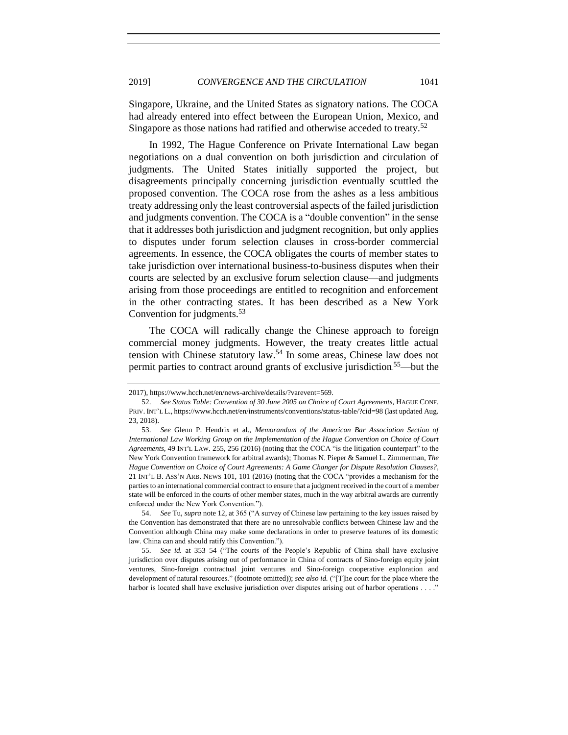Singapore, Ukraine, and the United States as signatory nations. The COCA had already entered into effect between the European Union, Mexico, and Singapore as those nations had ratified and otherwise acceded to treaty.<sup>52</sup>

In 1992, The Hague Conference on Private International Law began negotiations on a dual convention on both jurisdiction and circulation of judgments. The United States initially supported the project, but disagreements principally concerning jurisdiction eventually scuttled the proposed convention. The COCA rose from the ashes as a less ambitious treaty addressing only the least controversial aspects of the failed jurisdiction and judgments convention. The COCA is a "double convention" in the sense that it addresses both jurisdiction and judgment recognition, but only applies to disputes under forum selection clauses in cross-border commercial agreements. In essence, the COCA obligates the courts of member states to take jurisdiction over international business-to-business disputes when their courts are selected by an exclusive forum selection clause—and judgments arising from those proceedings are entitled to recognition and enforcement in the other contracting states. It has been described as a New York Convention for judgments.<sup>53</sup>

The COCA will radically change the Chinese approach to foreign commercial money judgments. However, the treaty creates little actual tension with Chinese statutory law.<sup>54</sup> In some areas, Chinese law does not permit parties to contract around grants of exclusive jurisdiction.<sup>55</sup>—but the

54. *See* Tu, *supra* not[e 12,](#page-3-2) at 365 ("A survey of Chinese law pertaining to the key issues raised by the Convention has demonstrated that there are no unresolvable conflicts between Chinese law and the Convention although China may make some declarations in order to preserve features of its domestic law. China can and should ratify this Convention.").

55. *See id.* at 353–54 ("The courts of the People's Republic of China shall have exclusive jurisdiction over disputes arising out of performance in China of contracts of Sino-foreign equity joint ventures, Sino-foreign contractual joint ventures and Sino-foreign cooperative exploration and development of natural resources." (footnote omitted)); *see also id.* ("[T]he court for the place where the harbor is located shall have exclusive jurisdiction over disputes arising out of harbor operations . . . ."

<sup>2017),</sup> https://www.hcch.net/en/news-archive/details/?varevent=569.

<sup>52.</sup> *See Status Table: Convention of 30 June 2005 on Choice of Court Agreements*, HAGUE CONF. PRIV. INT'L L., https://www.hcch.net/en/instruments/conventions/status-table/?cid=98 (last updated Aug. 23, 2018).

<sup>53.</sup> *See* Glenn P. Hendrix et al., *Memorandum of the American Bar Association Section of International Law Working Group on the Implementation of the Hague Convention on Choice of Court Agreements*, 49 INT'L LAW. 255, 256 (2016) (noting that the COCA "is the litigation counterpart" to the New York Convention framework for arbitral awards); Thomas N. Pieper & Samuel L. Zimmerman, *The Hague Convention on Choice of Court Agreements: A Game Changer for Dispute Resolution Clauses?*, 21 INT'L B. ASS'N ARB. NEWS 101, 101 (2016) (noting that the COCA "provides a mechanism for the parties to an international commercial contract to ensure that a judgment received in the court of a member state will be enforced in the courts of other member states, much in the way arbitral awards are currently enforced under the New York Convention.").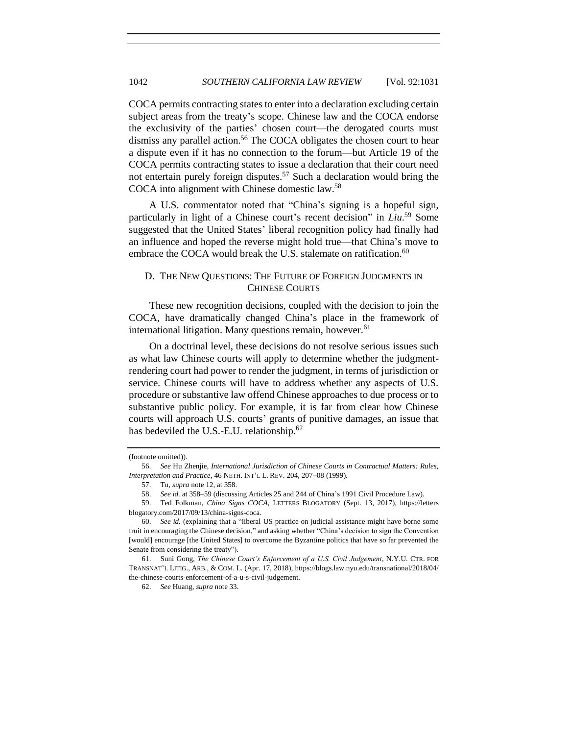COCA permits contracting states to enter into a declaration excluding certain subject areas from the treaty's scope. Chinese law and the COCA endorse the exclusivity of the parties' chosen court—the derogated courts must dismiss any parallel action.<sup>56</sup> The COCA obligates the chosen court to hear a dispute even if it has no connection to the forum—but Article 19 of the COCA permits contracting states to issue a declaration that their court need not entertain purely foreign disputes.<sup>57</sup> Such a declaration would bring the COCA into alignment with Chinese domestic law.<sup>58</sup>

A U.S. commentator noted that "China's signing is a hopeful sign, particularly in light of a Chinese court's recent decision" in *Liu*. <sup>59</sup> Some suggested that the United States' liberal recognition policy had finally had an influence and hoped the reverse might hold true—that China's move to embrace the COCA would break the U.S. stalemate on ratification.<sup>60</sup>

## D. THE NEW QUESTIONS: THE FUTURE OF FOREIGN JUDGMENTS IN CHINESE COURTS

These new recognition decisions, coupled with the decision to join the COCA, have dramatically changed China's place in the framework of international litigation. Many questions remain, however.<sup>61</sup>

On a doctrinal level, these decisions do not resolve serious issues such as what law Chinese courts will apply to determine whether the judgmentrendering court had power to render the judgment, in terms of jurisdiction or service. Chinese courts will have to address whether any aspects of U.S. procedure or substantive law offend Chinese approaches to due process or to substantive public policy. For example, it is far from clear how Chinese courts will approach U.S. courts' grants of punitive damages, an issue that has bedeviled the U.S.-E.U. relationship.<sup>62</sup>

59. Ted Folkman, *China Signs COCA*, LETTERS BLOGATORY (Sept. 13, 2017), https://letters blogatory.com/2017/09/13/china-signs-coca.

61. Suni Gong, *The Chinese Court's Enforcement of a U.S. Civil Judgement*, N.Y.U. CTR. FOR TRANSNAT'L LITIG., ARB., & COM. L. (Apr. 17, 2018), https://blogs.law.nyu.edu/transnational/2018/04/ the-chinese-courts-enforcement-of-a-u-s-civil-judgement.

62. *See* Huang, *supra* not[e 33.](#page-6-0)

<sup>(</sup>footnote omitted)).

<sup>56.</sup> *See* Hu Zhenjie, *International Jurisdiction of Chinese Courts in Contractual Matters: Rules, Interpretation and Practice*, 46 NETH. INT'L L. REV. 204, 207−08 (1999).

<sup>57.</sup> Tu, *supra* note [12,](#page-3-2) at 358.

<sup>58.</sup> *See id.* at 358–59 (discussing Articles 25 and 244 of China's 1991 Civil Procedure Law).

<sup>60.</sup> *See id.* (explaining that a "liberal US practice on judicial assistance might have borne some fruit in encouraging the Chinese decision," and asking whether "China's decision to sign the Convention [would] encourage [the United States] to overcome the Byzantine politics that have so far prevented the Senate from considering the treaty").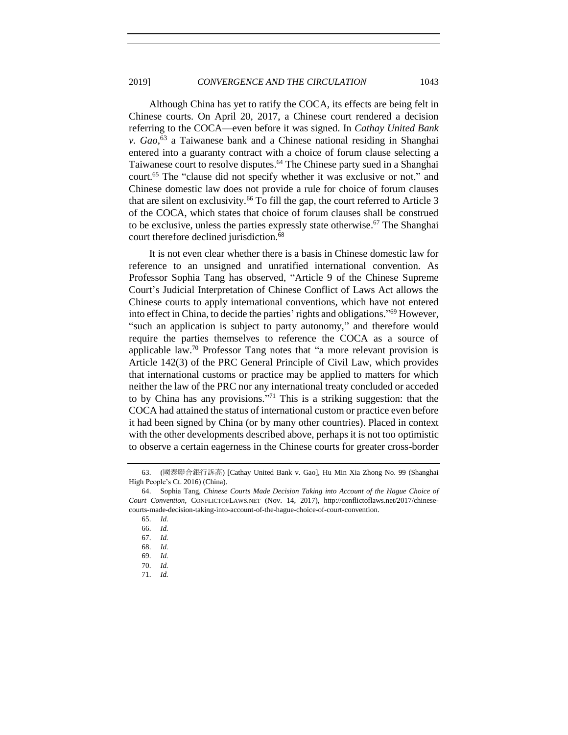Although China has yet to ratify the COCA, its effects are being felt in Chinese courts. On April 20, 2017, a Chinese court rendered a decision referring to the COCA—even before it was signed. In *Cathay United Bank v. Gao*, <sup>63</sup> a Taiwanese bank and a Chinese national residing in Shanghai entered into a guaranty contract with a choice of forum clause selecting a Taiwanese court to resolve disputes.<sup>64</sup> The Chinese party sued in a Shanghai court.<sup>65</sup> The "clause did not specify whether it was exclusive or not," and Chinese domestic law does not provide a rule for choice of forum clauses that are silent on exclusivity.<sup>66</sup> To fill the gap, the court referred to Article 3 of the COCA, which states that choice of forum clauses shall be construed to be exclusive, unless the parties expressly state otherwise. $67$  The Shanghai court therefore declined jurisdiction.<sup>68</sup>

It is not even clear whether there is a basis in Chinese domestic law for reference to an unsigned and unratified international convention. As Professor Sophia Tang has observed, "Article 9 of the Chinese Supreme Court's Judicial Interpretation of Chinese Conflict of Laws Act allows the Chinese courts to apply international conventions, which have not entered into effect in China, to decide the parties' rights and obligations." <sup>69</sup> However, "such an application is subject to party autonomy," and therefore would require the parties themselves to reference the COCA as a source of applicable law.<sup>70</sup> Professor Tang notes that "a more relevant provision is Article 142(3) of the PRC General Principle of Civil Law, which provides that international customs or practice may be applied to matters for which neither the law of the PRC nor any international treaty concluded or acceded to by China has any provisions." <sup>71</sup> This is a striking suggestion: that the COCA had attained the status of international custom or practice even before it had been signed by China (or by many other countries). Placed in context with the other developments described above, perhaps it is not too optimistic to observe a certain eagerness in the Chinese courts for greater cross-border

<sup>63.</sup> (國泰聯合銀行訴高) [Cathay United Bank v. Gao], Hu Min Xia Zhong No. 99 (Shanghai High People's Ct. 2016) (China).

<sup>64.</sup> Sophia Tang, *Chinese Courts Made Decision Taking into Account of the Hague Choice of Court Convention*, CONFLICTOFLAWS.NET (Nov. 14, 2017), http://conflictoflaws.net/2017/chinesecourts-made-decision-taking-into-account-of-the-hague-choice-of-court-convention.

<sup>65.</sup> *Id.* 

<sup>66.</sup> *Id.* 

<sup>67.</sup> *Id.* 

<sup>68.</sup> *Id.* 

<sup>69.</sup> *Id.*

<sup>70.</sup> *Id.*

<sup>71.</sup> *Id.*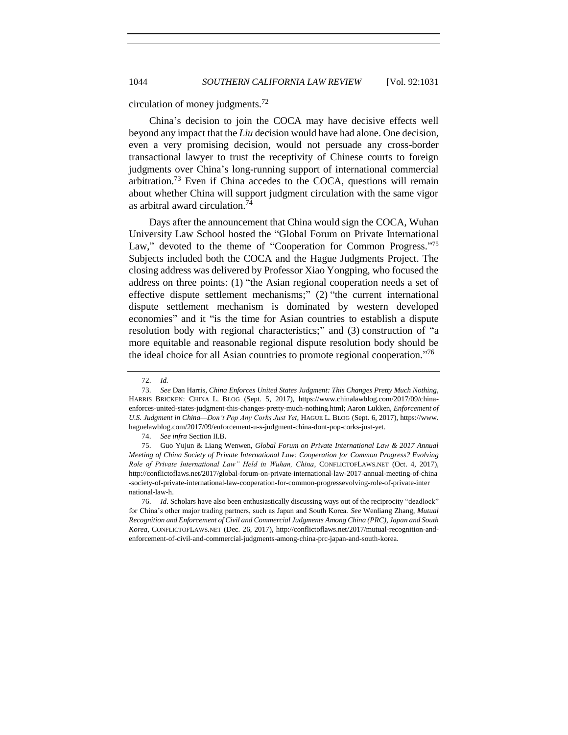circulation of money judgments.<sup>72</sup>

China's decision to join the COCA may have decisive effects well beyond any impact that the *Liu* decision would have had alone. One decision, even a very promising decision, would not persuade any cross-border transactional lawyer to trust the receptivity of Chinese courts to foreign judgments over China's long-running support of international commercial arbitration.<sup>73</sup> Even if China accedes to the COCA, questions will remain about whether China will support judgment circulation with the same vigor as arbitral award circulation.<sup>74</sup>

Days after the announcement that China would sign the COCA, Wuhan University Law School hosted the "Global Forum on Private International Law," devoted to the theme of "Cooperation for Common Progress."<sup>75</sup> Subjects included both the COCA and the Hague Judgments Project. The closing address was delivered by Professor Xiao Yongping, who focused the address on three points: (1) "the Asian regional cooperation needs a set of effective dispute settlement mechanisms;" (2) "the current international dispute settlement mechanism is dominated by western developed economies" and it "is the time for Asian countries to establish a dispute resolution body with regional characteristics;" and (3) construction of "a more equitable and reasonable regional dispute resolution body should be the ideal choice for all Asian countries to promote regional cooperation."<sup>76</sup>

<sup>72.</sup> *Id.* 

<sup>73.</sup> *See* Dan Harris, *China Enforces United States Judgment: This Changes Pretty Much Nothing*, HARRIS BRICKEN: CHINA L. BLOG (Sept. 5, 2017), https://www.chinalawblog.com/2017/09/chinaenforces-united-states-judgment-this-changes-pretty-much-nothing.html; Aaron Lukken, *Enforcement of U.S. Judgment in China—Don't Pop Any Corks Just Yet*, HAGUE L. BLOG (Sept. 6, 2017), https://www. haguelawblog.com/2017/09/enforcement-u-s-judgment-china-dont-pop-corks-just-yet.

<sup>74.</sup> *See infra* Section II.B.

<sup>75.</sup> Guo Yujun & Liang Wenwen, *Global Forum on Private International Law & 2017 Annual Meeting of China Society of Private International Law: Cooperation for Common Progress? Evolving Role of Private International Law" Held in Wuhan, China*, CONFLICTOFLAWS.NET (Oct. 4, 2017), http://conflictoflaws.net/2017/global-forum-on-private-international-law-2017-annual-meeting-of-china -society-of-private-international-law-cooperation-for-common-progressevolving-role-of-private-inter national-law-h.

<sup>76.</sup> *Id*. Scholars have also been enthusiastically discussing ways out of the reciprocity "deadlock" for China's other major trading partners, such as Japan and South Korea. *See* Wenliang Zhang, *Mutual Recognition and Enforcement of Civil and Commercial Judgments Among China (PRC), Japan and South Korea*, CONFLICTOFLAWS.NET (Dec. 26, 2017), http://conflictoflaws.net/2017/mutual-recognition-andenforcement-of-civil-and-commercial-judgments-among-china-prc-japan-and-south-korea.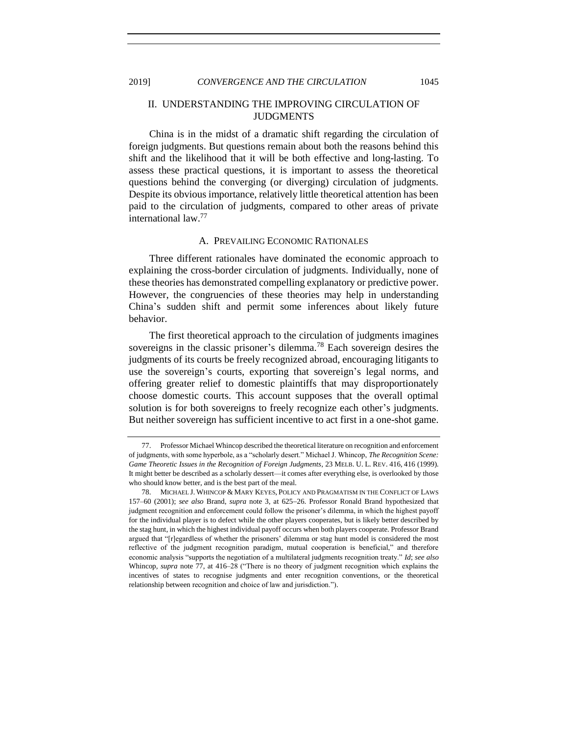<span id="page-14-1"></span>

## II. UNDERSTANDING THE IMPROVING CIRCULATION OF JUDGMENTS

China is in the midst of a dramatic shift regarding the circulation of foreign judgments. But questions remain about both the reasons behind this shift and the likelihood that it will be both effective and long-lasting. To assess these practical questions, it is important to assess the theoretical questions behind the converging (or diverging) circulation of judgments. Despite its obvious importance, relatively little theoretical attention has been paid to the circulation of judgments, compared to other areas of private international law.<sup>77</sup>

## <span id="page-14-0"></span>A.PREVAILING ECONOMIC RATIONALES

Three different rationales have dominated the economic approach to explaining the cross-border circulation of judgments. Individually, none of these theories has demonstrated compelling explanatory or predictive power. However, the congruencies of these theories may help in understanding China's sudden shift and permit some inferences about likely future behavior.

The first theoretical approach to the circulation of judgments imagines sovereigns in the classic prisoner's dilemma.<sup>78</sup> Each sovereign desires the judgments of its courts be freely recognized abroad, encouraging litigants to use the sovereign's courts, exporting that sovereign's legal norms, and offering greater relief to domestic plaintiffs that may disproportionately choose domestic courts. This account supposes that the overall optimal solution is for both sovereigns to freely recognize each other's judgments. But neither sovereign has sufficient incentive to act first in a one-shot game.

<sup>77.</sup> Professor Michael Whincop described the theoretical literature on recognition and enforcement of judgments, with some hyperbole, as a "scholarly desert." Michael J. Whincop, *The Recognition Scene: Game Theoretic Issues in the Recognition of Foreign Judgments*, 23 MELB. U. L. REV. 416, 416 (1999). It might better be described as a scholarly dessert—it comes after everything else, is overlooked by those who should know better, and is the best part of the meal.

<sup>78.</sup> MICHAEL J. WHINCOP & MARY KEYES, POLICY AND PRAGMATISM IN THE CONFLICT OF LAWS 157–60 (2001); *see also* Brand, *supra* note [3,](#page-1-0) at 625−26. Professor Ronald Brand hypothesized that judgment recognition and enforcement could follow the prisoner's dilemma, in which the highest payoff for the individual player is to defect while the other players cooperates, but is likely better described by the stag hunt, in which the highest individual payoff occurs when both players cooperate. Professor Brand argued that "[r]egardless of whether the prisoners' dilemma or stag hunt model is considered the most reflective of the judgment recognition paradigm, mutual cooperation is beneficial," and therefore economic analysis "supports the negotiation of a multilateral judgments recognition treaty." *Id*; *see also* Whincop*, supra* note [77,](#page-14-0) at 416–28 ("There is no theory of judgment recognition which explains the incentives of states to recognise judgments and enter recognition conventions, or the theoretical relationship between recognition and choice of law and jurisdiction.").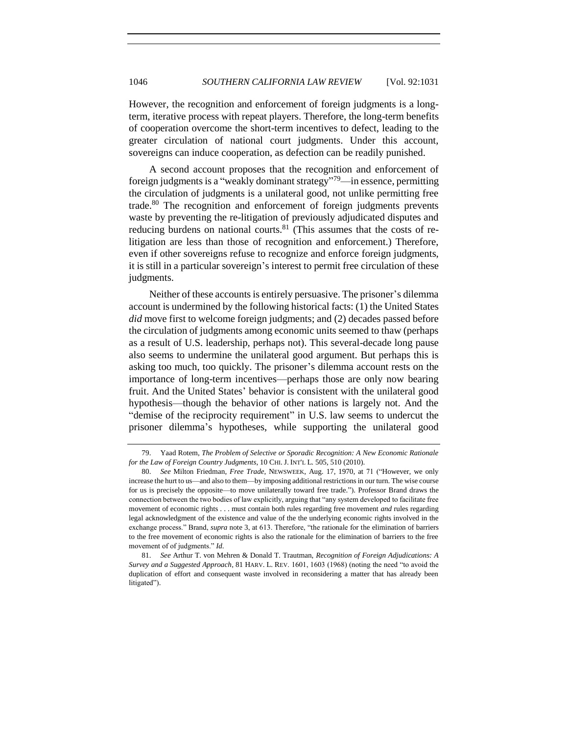However, the recognition and enforcement of foreign judgments is a longterm, iterative process with repeat players. Therefore, the long-term benefits of cooperation overcome the short-term incentives to defect, leading to the greater circulation of national court judgments. Under this account, sovereigns can induce cooperation, as defection can be readily punished.

A second account proposes that the recognition and enforcement of foreign judgments is a "weakly dominant strategy"<sup>79</sup>—in essence, permitting the circulation of judgments is a unilateral good, not unlike permitting free trade.<sup>80</sup> The recognition and enforcement of foreign judgments prevents waste by preventing the re-litigation of previously adjudicated disputes and reducing burdens on national courts. $81$  (This assumes that the costs of relitigation are less than those of recognition and enforcement.) Therefore, even if other sovereigns refuse to recognize and enforce foreign judgments, it is still in a particular sovereign's interest to permit free circulation of these judgments.

Neither of these accounts is entirely persuasive. The prisoner's dilemma account is undermined by the following historical facts: (1) the United States *did* move first to welcome foreign judgments; and (2) decades passed before the circulation of judgments among economic units seemed to thaw (perhaps as a result of U.S. leadership, perhaps not). This several-decade long pause also seems to undermine the unilateral good argument. But perhaps this is asking too much, too quickly. The prisoner's dilemma account rests on the importance of long-term incentives—perhaps those are only now bearing fruit. And the United States' behavior is consistent with the unilateral good hypothesis—though the behavior of other nations is largely not. And the "demise of the reciprocity requirement" in U.S. law seems to undercut the prisoner dilemma's hypotheses, while supporting the unilateral good

<sup>79.</sup> Yaad Rotem, *The Problem of Selective or Sporadic Recognition: A New Economic Rationale for the Law of Foreign Country Judgments*, 10 CHI. J. INT'L L. 505, 510 (2010).

<sup>80.</sup> *See* Milton Friedman, *Free Trade*, NEWSWEEK, Aug. 17, 1970, at 71 ("However, we only increase the hurt to us—and also to them—by imposing additional restrictions in our turn. The wise course for us is precisely the opposite—to move unilaterally toward free trade."). Professor Brand draws the connection between the two bodies of law explicitly, arguing that "any system developed to facilitate free movement of economic rights . . . must contain both rules regarding free movement *and* rules regarding legal acknowledgment of the existence and value of the the underlying economic rights involved in the exchange process." Brand, *supra* not[e 3,](#page-1-0) at 613. Therefore, "the rationale for the elimination of barriers to the free movement of economic rights is also the rationale for the elimination of barriers to the free movement of of judgments." *Id*.

<sup>81.</sup> *See* Arthur T. von Mehren & Donald T. Trautman, *Recognition of Foreign Adjudications: A Survey and a Suggested Approach*, 81 HARV. L. REV. 1601, 1603 (1968) (noting the need "to avoid the duplication of effort and consequent waste involved in reconsidering a matter that has already been litigated").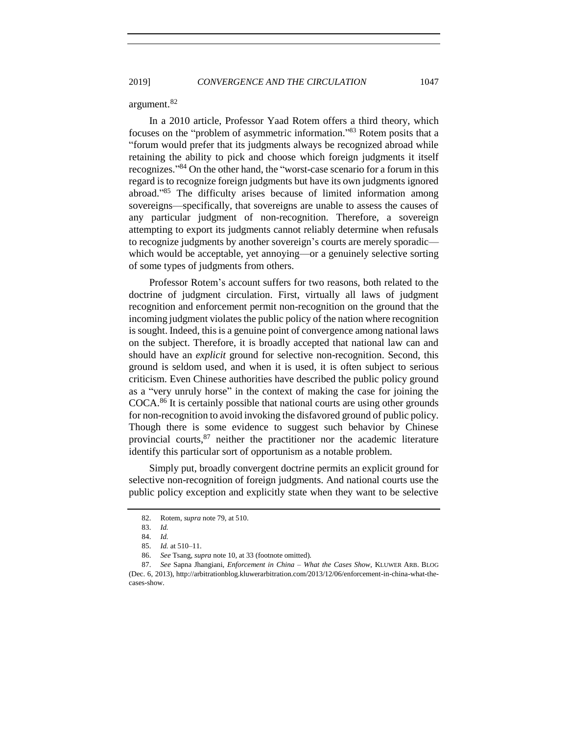2019] *CONVERGENCE AND THE CIRCULATION* 1047

argument.<sup>82</sup>

In a 2010 article, Professor Yaad Rotem offers a third theory, which focuses on the "problem of asymmetric information." <sup>83</sup> Rotem posits that a "forum would prefer that its judgments always be recognized abroad while retaining the ability to pick and choose which foreign judgments it itself recognizes." <sup>84</sup> On the other hand, the "worst-case scenario for a forum in this regard is to recognize foreign judgments but have its own judgments ignored abroad."<sup>85</sup> The difficulty arises because of limited information among sovereigns—specifically, that sovereigns are unable to assess the causes of any particular judgment of non-recognition. Therefore, a sovereign attempting to export its judgments cannot reliably determine when refusals to recognize judgments by another sovereign's courts are merely sporadic which would be acceptable, yet annoying—or a genuinely selective sorting of some types of judgments from others.

Professor Rotem's account suffers for two reasons, both related to the doctrine of judgment circulation. First, virtually all laws of judgment recognition and enforcement permit non-recognition on the ground that the incoming judgment violates the public policy of the nation where recognition is sought. Indeed, this is a genuine point of convergence among national laws on the subject. Therefore, it is broadly accepted that national law can and should have an *explicit* ground for selective non-recognition. Second, this ground is seldom used, and when it is used, it is often subject to serious criticism. Even Chinese authorities have described the public policy ground as a "very unruly horse" in the context of making the case for joining the COCA.<sup>86</sup> It is certainly possible that national courts are using other grounds for non-recognition to avoid invoking the disfavored ground of public policy. Though there is some evidence to suggest such behavior by Chinese provincial courts,<sup>87</sup> neither the practitioner nor the academic literature identify this particular sort of opportunism as a notable problem.

<span id="page-16-0"></span>Simply put, broadly convergent doctrine permits an explicit ground for selective non-recognition of foreign judgments. And national courts use the public policy exception and explicitly state when they want to be selective

<sup>82.</sup> Rotem, *supra* not[e 79,](#page-14-1) at 510.

<sup>83.</sup> *Id.*

<sup>84.</sup> *Id.* 85. *Id.* at 510–11.

<sup>86.</sup> *See* Tsang, *supra* not[e 10,](#page-3-1) at 33 (footnote omitted).

<sup>87.</sup> *See* Sapna Jhangiani, *Enforcement in China – What the Cases Show*, KLUWER ARB. BLOG (Dec. 6, 2013), http://arbitrationblog.kluwerarbitration.com/2013/12/06/enforcement-in-china-what-thecases-show.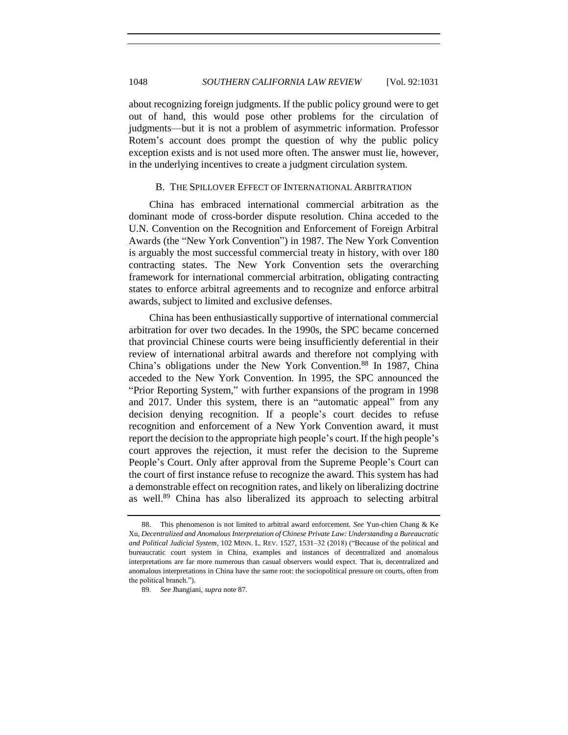about recognizing foreign judgments. If the public policy ground were to get out of hand, this would pose other problems for the circulation of judgments—but it is not a problem of asymmetric information. Professor Rotem's account does prompt the question of why the public policy exception exists and is not used more often. The answer must lie, however, in the underlying incentives to create a judgment circulation system.

## B. THE SPILLOVER EFFECT OF INTERNATIONAL ARBITRATION

China has embraced international commercial arbitration as the dominant mode of cross-border dispute resolution. China acceded to the U.N. Convention on the Recognition and Enforcement of Foreign Arbitral Awards (the "New York Convention") in 1987. The New York Convention is arguably the most successful commercial treaty in history, with over 180 contracting states. The New York Convention sets the overarching framework for international commercial arbitration, obligating contracting states to enforce arbitral agreements and to recognize and enforce arbitral awards, subject to limited and exclusive defenses.

<span id="page-17-0"></span>China has been enthusiastically supportive of international commercial arbitration for over two decades. In the 1990s, the SPC became concerned that provincial Chinese courts were being insufficiently deferential in their review of international arbitral awards and therefore not complying with China's obligations under the New York Convention.<sup>88</sup> In 1987, China acceded to the New York Convention. In 1995, the SPC announced the "Prior Reporting System," with further expansions of the program in 1998 and 2017. Under this system, there is an "automatic appeal" from any decision denying recognition. If a people's court decides to refuse recognition and enforcement of a New York Convention award, it must report the decision to the appropriate high people's court. If the high people's court approves the rejection, it must refer the decision to the Supreme People's Court. Only after approval from the Supreme People's Court can the court of first instance refuse to recognize the award. This system has had a demonstrable effect on recognition rates, and likely on liberalizing doctrine as well.<sup>89</sup> China has also liberalized its approach to selecting arbitral

<sup>88.</sup> This phenomenon is not limited to arbitral award enforcement. *See* Yun-chien Chang & Ke Xu, *Decentralized and Anomalous Interpretation of Chinese Private Law: Understanding a Bureaucratic and Political Judicial System*, 102 MINN. L. REV. 1527, 1531–32 (2018) ("Because of the political and bureaucratic court system in China, examples and instances of decentralized and anomalous interpretations are far more numerous than casual observers would expect. That is, decentralized and anomalous interpretations in China have the same root: the sociopolitical pressure on courts, often from the political branch.").

<sup>89.</sup> *See* Jhangiani, *supra* note [87.](#page-16-0)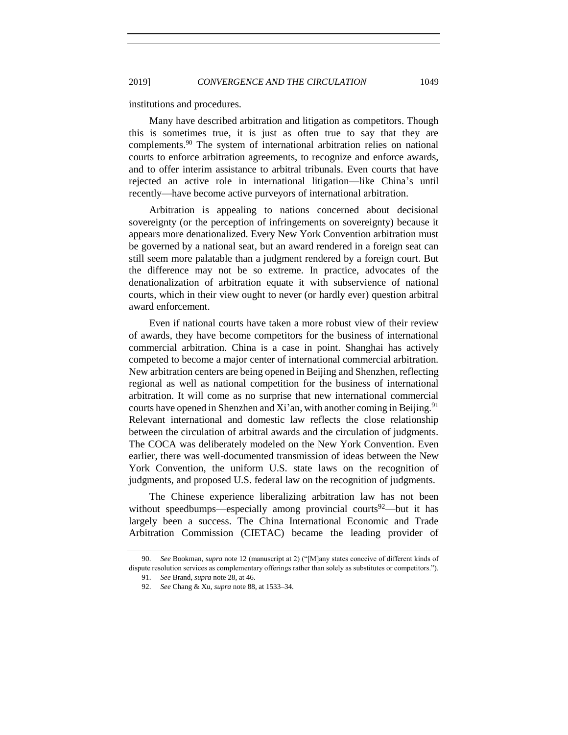institutions and procedures.

Many have described arbitration and litigation as competitors. Though this is sometimes true, it is just as often true to say that they are complements.<sup>90</sup> The system of international arbitration relies on national courts to enforce arbitration agreements, to recognize and enforce awards, and to offer interim assistance to arbitral tribunals. Even courts that have rejected an active role in international litigation—like China's until recently—have become active purveyors of international arbitration.

Arbitration is appealing to nations concerned about decisional sovereignty (or the perception of infringements on sovereignty) because it appears more denationalized. Every New York Convention arbitration must be governed by a national seat, but an award rendered in a foreign seat can still seem more palatable than a judgment rendered by a foreign court. But the difference may not be so extreme. In practice, advocates of the denationalization of arbitration equate it with subservience of national courts, which in their view ought to never (or hardly ever) question arbitral award enforcement.

Even if national courts have taken a more robust view of their review of awards, they have become competitors for the business of international commercial arbitration. China is a case in point. Shanghai has actively competed to become a major center of international commercial arbitration. New arbitration centers are being opened in Beijing and Shenzhen, reflecting regional as well as national competition for the business of international arbitration. It will come as no surprise that new international commercial courts have opened in Shenzhen and Xi'an, with another coming in Beijing.<sup>91</sup> Relevant international and domestic law reflects the close relationship between the circulation of arbitral awards and the circulation of judgments. The COCA was deliberately modeled on the New York Convention. Even earlier, there was well-documented transmission of ideas between the New York Convention, the uniform U.S. state laws on the recognition of judgments, and proposed U.S. federal law on the recognition of judgments.

The Chinese experience liberalizing arbitration law has not been without speedbumps—especially among provincial courts<sup>92</sup>—but it has largely been a success. The China International Economic and Trade Arbitration Commission (CIETAC) became the leading provider of

<sup>90.</sup> *See* Bookman, *supra* note [12](#page-3-2) (manuscript at 2) ("[M]any states conceive of different kinds of dispute resolution services as complementary offerings rather than solely as substitutes or competitors.").

<sup>91.</sup> *See* Brand, *supra* not[e 28,](#page-5-0) at 46.

<sup>92.</sup> *See* Chang & Xu, *supra* not[e 88,](#page-17-0) at 1533–34.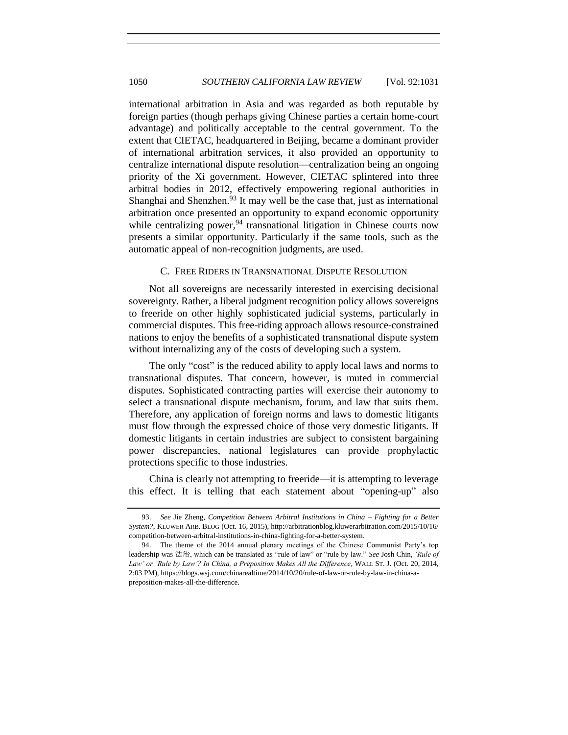international arbitration in Asia and was regarded as both reputable by foreign parties (though perhaps giving Chinese parties a certain home-court advantage) and politically acceptable to the central government. To the extent that CIETAC, headquartered in Beijing, became a dominant provider of international arbitration services, it also provided an opportunity to centralize international dispute resolution—centralization being an ongoing priority of the Xi government. However, CIETAC splintered into three arbitral bodies in 2012, effectively empowering regional authorities in Shanghai and Shenzhen.<sup>93</sup> It may well be the case that, just as international arbitration once presented an opportunity to expand economic opportunity while centralizing power,  $94$  transnational litigation in Chinese courts now presents a similar opportunity. Particularly if the same tools, such as the automatic appeal of non-recognition judgments, are used.

#### C.FREE RIDERS IN TRANSNATIONAL DISPUTE RESOLUTION

Not all sovereigns are necessarily interested in exercising decisional sovereignty. Rather, a liberal judgment recognition policy allows sovereigns to freeride on other highly sophisticated judicial systems, particularly in commercial disputes. This free-riding approach allows resource-constrained nations to enjoy the benefits of a sophisticated transnational dispute system without internalizing any of the costs of developing such a system.

The only "cost" is the reduced ability to apply local laws and norms to transnational disputes. That concern, however, is muted in commercial disputes. Sophisticated contracting parties will exercise their autonomy to select a transnational dispute mechanism, forum, and law that suits them. Therefore, any application of foreign norms and laws to domestic litigants must flow through the expressed choice of those very domestic litigants. If domestic litigants in certain industries are subject to consistent bargaining power discrepancies, national legislatures can provide prophylactic protections specific to those industries.

China is clearly not attempting to freeride—it is attempting to leverage this effect. It is telling that each statement about "opening-up" also

<sup>93.</sup> *See* Jie Zheng, *Competition Between Arbitral Institutions in China – Fighting for a Better System?*, KLUWER ARB. BLOG (Oct. 16, 2015), http://arbitrationblog.kluwerarbitration.com/2015/10/16/ competition-between-arbitral-institutions-in-china-fighting-for-a-better-system.

<sup>94.</sup> The theme of the 2014 annual plenary meetings of the Chinese Communist Party's top leadership was 法治, which can be translated as "rule of law" or "rule by law." *See* Josh Chin, *'Rule of Law' or 'Rule by Law'? In China, a Preposition Makes All the Difference*, WALL ST. J. (Oct. 20, 2014, 2:03 PM), https://blogs.wsj.com/chinarealtime/2014/10/20/rule-of-law-or-rule-by-law-in-china-apreposition-makes-all-the-difference.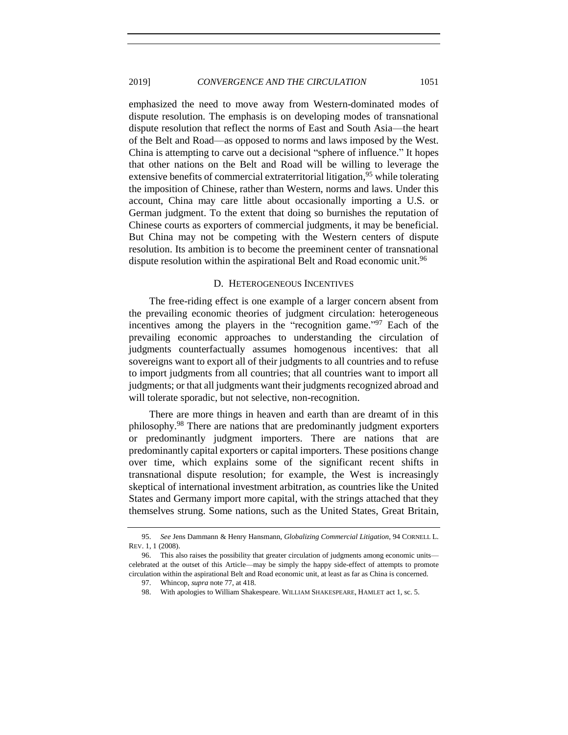emphasized the need to move away from Western-dominated modes of dispute resolution. The emphasis is on developing modes of transnational dispute resolution that reflect the norms of East and South Asia—the heart of the Belt and Road—as opposed to norms and laws imposed by the West. China is attempting to carve out a decisional "sphere of influence." It hopes that other nations on the Belt and Road will be willing to leverage the extensive benefits of commercial extraterritorial litigation, <sup>95</sup> while tolerating the imposition of Chinese, rather than Western, norms and laws. Under this account, China may care little about occasionally importing a U.S. or German judgment. To the extent that doing so burnishes the reputation of Chinese courts as exporters of commercial judgments, it may be beneficial. But China may not be competing with the Western centers of dispute resolution. Its ambition is to become the preeminent center of transnational dispute resolution within the aspirational Belt and Road economic unit.<sup>96</sup>

#### D. HETEROGENEOUS INCENTIVES

The free-riding effect is one example of a larger concern absent from the prevailing economic theories of judgment circulation: heterogeneous incentives among the players in the "recognition game." <sup>97</sup> Each of the prevailing economic approaches to understanding the circulation of judgments counterfactually assumes homogenous incentives: that all sovereigns want to export all of their judgments to all countries and to refuse to import judgments from all countries; that all countries want to import all judgments; or that all judgments want their judgments recognized abroad and will tolerate sporadic, but not selective, non-recognition.

There are more things in heaven and earth than are dreamt of in this philosophy.<sup>98</sup> There are nations that are predominantly judgment exporters or predominantly judgment importers. There are nations that are predominantly capital exporters or capital importers. These positions change over time, which explains some of the significant recent shifts in transnational dispute resolution; for example, the West is increasingly skeptical of international investment arbitration, as countries like the United States and Germany import more capital, with the strings attached that they themselves strung. Some nations, such as the United States, Great Britain,

98. With apologies to William Shakespeare. WILLIAM SHAKESPEARE, HAMLET act 1, sc. 5.

<sup>95.</sup> *See* Jens Dammann & Henry Hansmann, *Globalizing Commercial Litigation*, 94 CORNELL L. REV. 1, 1 (2008).

<sup>96.</sup> This also raises the possibility that greater circulation of judgments among economic units celebrated at the outset of this Article—may be simply the happy side-effect of attempts to promote circulation within the aspirational Belt and Road economic unit, at least as far as China is concerned.

<sup>97.</sup> Whincop, *supra* not[e 77,](#page-14-0) at 418.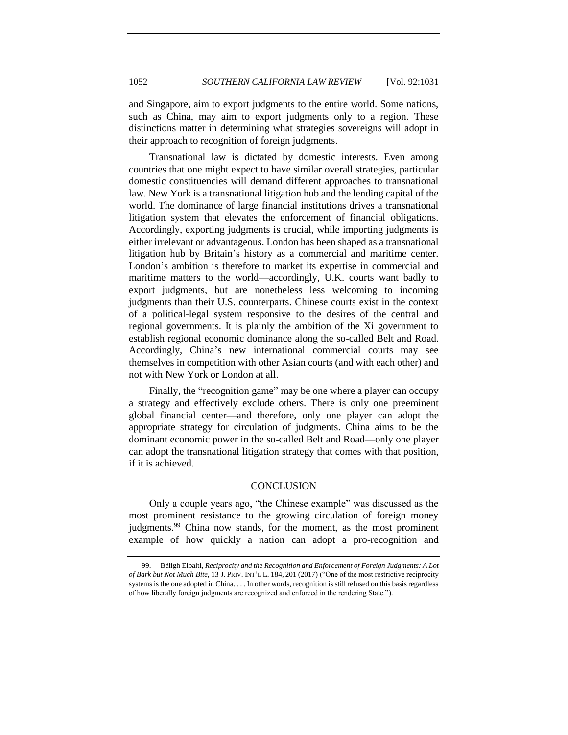and Singapore, aim to export judgments to the entire world. Some nations, such as China, may aim to export judgments only to a region. These distinctions matter in determining what strategies sovereigns will adopt in their approach to recognition of foreign judgments.

Transnational law is dictated by domestic interests. Even among countries that one might expect to have similar overall strategies, particular domestic constituencies will demand different approaches to transnational law. New York is a transnational litigation hub and the lending capital of the world. The dominance of large financial institutions drives a transnational litigation system that elevates the enforcement of financial obligations. Accordingly, exporting judgments is crucial, while importing judgments is either irrelevant or advantageous. London has been shaped as a transnational litigation hub by Britain's history as a commercial and maritime center. London's ambition is therefore to market its expertise in commercial and maritime matters to the world—accordingly, U.K. courts want badly to export judgments, but are nonetheless less welcoming to incoming judgments than their U.S. counterparts. Chinese courts exist in the context of a political-legal system responsive to the desires of the central and regional governments. It is plainly the ambition of the Xi government to establish regional economic dominance along the so-called Belt and Road. Accordingly, China's new international commercial courts may see themselves in competition with other Asian courts (and with each other) and not with New York or London at all.

Finally, the "recognition game" may be one where a player can occupy a strategy and effectively exclude others. There is only one preeminent global financial center—and therefore, only one player can adopt the appropriate strategy for circulation of judgments. China aims to be the dominant economic power in the so-called Belt and Road—only one player can adopt the transnational litigation strategy that comes with that position, if it is achieved.

#### **CONCLUSION**

Only a couple years ago, "the Chinese example" was discussed as the most prominent resistance to the growing circulation of foreign money judgments.<sup>99</sup> China now stands, for the moment, as the most prominent example of how quickly a nation can adopt a pro-recognition and

<sup>99.</sup> Béligh Elbalti, *Reciprocity and the Recognition and Enforcement of Foreign Judgments: A Lot of Bark but Not Much Bite*, 13 J. PRIV. INT'L L. 184, 201 (2017) ("One of the most restrictive reciprocity systems is the one adopted in China. . . . In other words, recognition is still refused on this basis regardless of how liberally foreign judgments are recognized and enforced in the rendering State.").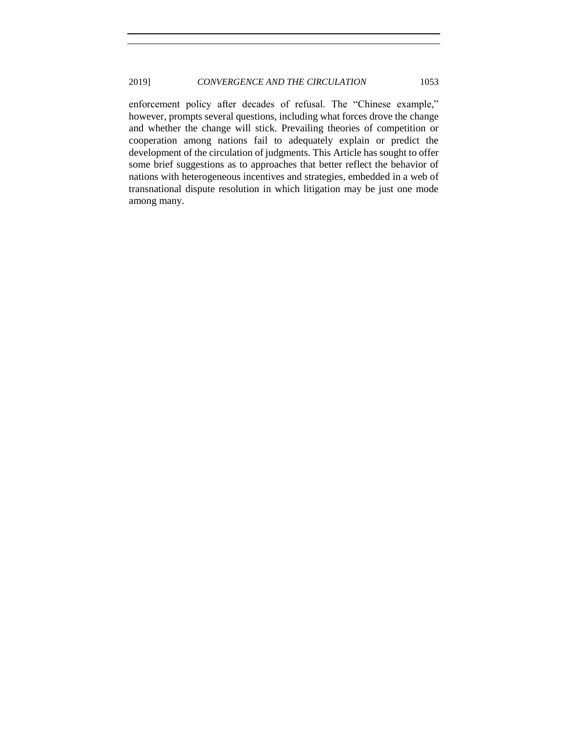enforcement policy after decades of refusal. The "Chinese example," however, prompts several questions, including what forces drove the change and whether the change will stick. Prevailing theories of competition or cooperation among nations fail to adequately explain or predict the development of the circulation of judgments. This Article has sought to offer some brief suggestions as to approaches that better reflect the behavior of nations with heterogeneous incentives and strategies, embedded in a web of transnational dispute resolution in which litigation may be just one mode among many.